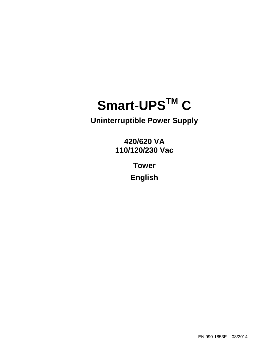# **Smart-UPSTM C**

**Uninterruptible Power Supply** 

**420/620 VA 110/120/230 Vac** 

> **Tower English**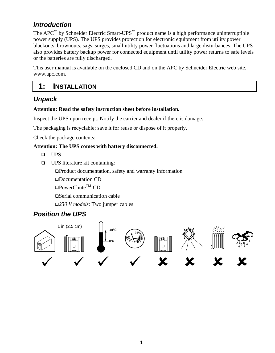#### *Introduction*

The APC™ by Schneider Electric Smart-UPS™ product name is a high performance uninterruptible power supply (UPS). The UPS provides protection for electronic equipment from utility power blackouts, brownouts, sags, surges, small utility power fluctuations and large disturbances. The UPS also provides battery backup power for connected equipment until utility power returns to safe levels or the batteries are fully discharged.

This user manual is available on the enclosed CD and on the APC by Schneider Electric web site, www.apc.com.

#### **1: INSTALLATION**

#### *Unpack*

#### **Attention: Read the safety instruction sheet before installation.**

Inspect the UPS upon receipt. Notify the carrier and dealer if there is damage.

The packaging is recyclable; save it for reuse or dispose of it properly.

Check the package contents:

#### **Attention: The UPS comes with battery disconnected.**

- UPS
- UPS literature kit containing:

Product documentation, safety and warranty information

Documentation CD

 $\Box$ PowerChute<sup>TM</sup> CD

□ Serial communication cable

*230 V models*: Two jumper cables

# *Position the UPS*

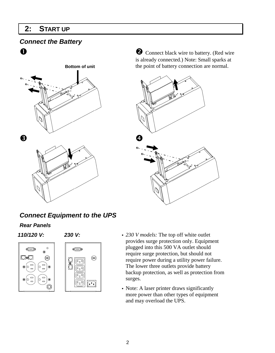#### **2: START UP**

#### *Connect the Battery*



**O** Connect black wire to battery. (Red wire is already connected.) Note: Small sparks at the point of battery connection are normal.



# *Connect Equipment to the UPS*

#### *Rear Panels*

 $\overline{\mathbb{C}^{(m)}}$ 

OO

lо

⊛ |D  $\blacksquare$ 

 $\blacksquare$ 



- **110/120 V: 230 V: 230 V: 230 V: 230 V: 230 V** models: The top off white outlet provides surge protection only. Equipment plugged into this 500 VA outlet should require surge protection, but should not require power during a utility power failure. The lower three outlets provide battery backup protection, as well as protection from surges.
	- Note: A laser printer draws significantly more power than other types of equipment and may overload the UPS.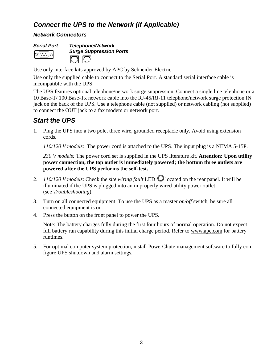#### *Connect the UPS to the Network (if Applicable)*

#### *Network Connectors*



Use only interface kits approved by APC by Schneider Electric.

Use only the supplied cable to connect to the Serial Port. A standard serial interface cable is incompatible with the UPS.

The UPS features optional telephone/network surge suppression. Connect a single line telephone or a 10 Base-T/ 100 Base-Tx network cable into the RJ-45/RJ-11 telephone/network surge protection IN jack on the back of the UPS. Use a telephone cable (not supplied) or network cabling (not supplied) to connect the OUT jack to a fax modem or network port.

#### *Start the UPS*

1. Plug the UPS into a two pole, three wire, grounded receptacle only. Avoid using extension cords.

*110/120 V models*: The power cord is attached to the UPS. The input plug is a NEMA 5-15P.

*230 V models:* The power cord set is supplied in the UPS literature kit. **Attention: Upon utility power connection, the top outlet is immediately powered; the bottom three outlets are powered after the UPS performs the self-test.**

- 2.  $110/120$  V models: Check the *site wiring fault* LED  $\bigcirc$  located on the rear panel. It will be illuminated if the UPS is plugged into an improperly wired utility power outlet (see *Troubleshooting*).
- 3. Turn on all connected equipment. To use the UPS as a master *on/off* switch, be sure all connected equipment is on.
- 4. Press the button on the front panel to power the UPS.

Note: The battery charges fully during the first four hours of normal operation. Do not expect full battery run capability during this initial charge period. Refer to www.apc.com for battery runtimes.

5. For optimal computer system protection, install PowerChute management software to fully configure UPS shutdown and alarm settings.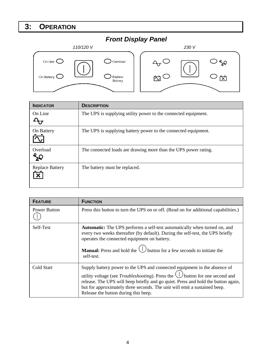# **3: OPERATION**

#### *Front Display Panel*



| <b>INDICATOR</b>                                    | <b>DESCRIPTION</b>                                              |
|-----------------------------------------------------|-----------------------------------------------------------------|
| On Line                                             | The UPS is supplying utility power to the connected equipment.  |
| On Battery                                          | The UPS is supplying battery power to the connected equipment.  |
| Overload                                            | The connected loads are drawing more than the UPS power rating. |
| <b>Replace Battery</b><br>$\boldsymbol{\mathsf{x}}$ | The battery must be replaced.                                   |

| <b>FEATURE</b> | <b>FUNCTION</b>                                                                                                                                                                                                                                                                                                                                                                     |
|----------------|-------------------------------------------------------------------------------------------------------------------------------------------------------------------------------------------------------------------------------------------------------------------------------------------------------------------------------------------------------------------------------------|
| Power Button   | Press this button to turn the UPS on or off. (Read on for additional capabilities.)                                                                                                                                                                                                                                                                                                 |
| Self-Test      | <b>Automatic:</b> The UPS performs a self-test automatically when turned on, and<br>every two weeks thereafter (by default). During the self-test, the UPS briefly<br>operates the connected equipment on battery.<br><b>Manual:</b> Press and hold the $\bigcup$ button for a few seconds to initiate the<br>self-test.                                                            |
| Cold Start     | Supply battery power to the UPS and connected equipment in the absence of<br>utility voltage (see <i>Troubleshooting</i> ). Press the $\bigcup$ button for one second and<br>release. The UPS will beep briefly and go quiet. Press and hold the button again,<br>but for approximately three seconds. The unit will emit a sustained beep.<br>Release the button during this beep. |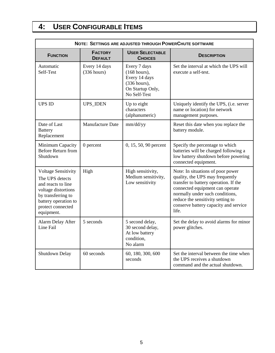# **4: USER CONFIGURABLE ITEMS**

| NOTE: SETTINGS ARE ADJUSTED THROUGH POWER CHUTE SOFTWARE                                                                                                                    |                                  |                                                                                                     |                                                                                                                                                                                                                                                                            |  |
|-----------------------------------------------------------------------------------------------------------------------------------------------------------------------------|----------------------------------|-----------------------------------------------------------------------------------------------------|----------------------------------------------------------------------------------------------------------------------------------------------------------------------------------------------------------------------------------------------------------------------------|--|
| <b>FUNCTION</b>                                                                                                                                                             | <b>FACTORY</b><br><b>DEFAULT</b> | <b>USER SELECTABLE</b><br><b>CHOICES</b>                                                            | <b>DESCRIPTION</b>                                                                                                                                                                                                                                                         |  |
| Automatic<br>Self-Test                                                                                                                                                      | Every 14 days<br>(336 hours)     | Every 7 days<br>$(168$ hours),<br>Every 14 days<br>(336 hours),<br>On Startup Only,<br>No Self-Test | Set the interval at which the UPS will<br>execute a self-test.                                                                                                                                                                                                             |  |
| <b>UPS ID</b>                                                                                                                                                               | <b>UPS_IDEN</b>                  | Up to eight<br>characters<br>(alphanumeric)                                                         | Uniquely identify the UPS, (i.e. server<br>name or location) for network<br>management purposes.                                                                                                                                                                           |  |
| Date of Last<br><b>Battery</b><br>Replacement                                                                                                                               | <b>Manufacture Date</b>          | mm/dd/yy                                                                                            | Reset this date when you replace the<br>battery module.                                                                                                                                                                                                                    |  |
| Minimum Capacity<br>Before Return from<br>Shutdown                                                                                                                          | $0$ percent                      | 0, 15, 50, 90 percent                                                                               | Specify the percentage to which<br>batteries will be charged following a<br>low battery shutdown before powering<br>connected equipment.                                                                                                                                   |  |
| <b>Voltage Sensitivity</b><br>The UPS detects<br>and reacts to line<br>voltage distortions<br>by transferring to<br>battery operation to<br>protect connected<br>equipment. | High                             | High sensitivity,<br>Medium sensitivity,<br>Low sensitivity                                         | Note: In situations of poor power<br>quality, the UPS may frequently<br>transfer to battery operation. If the<br>connected equipment can operate<br>normally under such conditions,<br>reduce the sensitivity setting to<br>conserve battery capacity and service<br>life. |  |
| Alarm Delay After<br>Line Fail                                                                                                                                              | 5 seconds                        | 5 second delay,<br>30 second delay,<br>At low battery<br>condition.<br>No alarm                     | Set the delay to avoid alarms for minor<br>power glitches.                                                                                                                                                                                                                 |  |
| Shutdown Delay                                                                                                                                                              | 60 seconds                       | 60, 180, 300, 600<br>seconds                                                                        | Set the interval between the time when<br>the UPS receives a shutdown<br>command and the actual shutdown.                                                                                                                                                                  |  |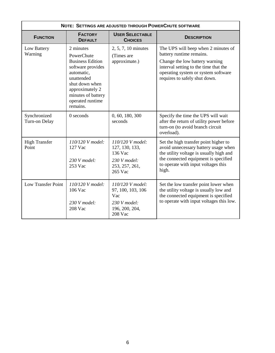| NOTE: SETTINGS ARE ADJUSTED THROUGH POWER CHUTE SOFTWARE |                                                                                                                                                                                                |                                                                                              |                                                                                                                                                                                                                    |  |  |
|----------------------------------------------------------|------------------------------------------------------------------------------------------------------------------------------------------------------------------------------------------------|----------------------------------------------------------------------------------------------|--------------------------------------------------------------------------------------------------------------------------------------------------------------------------------------------------------------------|--|--|
| <b>FUNCTION</b>                                          | <b>FACTORY</b><br><b>DEFAULT</b>                                                                                                                                                               | <b>USER SELECTABLE</b><br><b>CHOICES</b>                                                     | <b>DESCRIPTION</b>                                                                                                                                                                                                 |  |  |
| Low Battery<br>Warning                                   | 2 minutes<br>PowerChute<br><b>Business Edition</b><br>software provides<br>automatic,<br>unattended<br>shut down when<br>approximately 2<br>minutes of battery<br>operated runtime<br>remains. | 2, 5, 7, 10 minutes<br>(Times are<br>approximate.)                                           | The UPS will beep when 2 minutes of<br>battery runtime remains.<br>Change the low battery warning<br>interval setting to the time that the<br>operating system or system software<br>requires to safely shut down. |  |  |
| Synchronized<br>Turn-on Delay                            | $0$ seconds                                                                                                                                                                                    | 0, 60, 180, 300<br>seconds                                                                   | Specify the time the UPS will wait<br>after the return of utility power before<br>turn-on (to avoid branch circuit<br>overload).                                                                                   |  |  |
| <b>High Transfer</b><br>Point                            | $110/120$ V model:<br>127 Vac<br>$230$ V model:<br>253 Vac                                                                                                                                     | $110/120$ V model:<br>127, 130, 133,<br>136 Vac<br>230 V model:<br>253, 257, 261,<br>265 Vac | Set the high transfer point higher to<br>avoid unnecessary battery usage when<br>the utility voltage is usually high and<br>the connected equipment is specified<br>to operate with input voltages this<br>high.   |  |  |
| Low Transfer Point                                       | $110/120$ V model:<br>106 Vac<br>$230$ V model:<br>208 Vac                                                                                                                                     | $110/120$ V model:<br>97, 100, 103, 106<br>Vac<br>230 V model:<br>196, 200, 204,<br>208 Vac  | Set the low transfer point lower when<br>the utility voltage is usually low and<br>the connected equipment is specified<br>to operate with input voltages this low.                                                |  |  |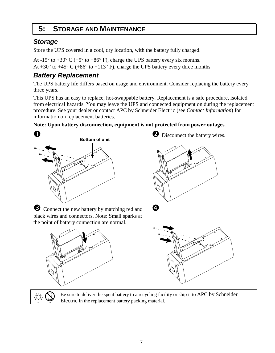# **5: STORAGE AND MAINTENANCE**

### *Storage*

Store the UPS covered in a cool, dry location, with the battery fully charged.

At -15 $\degree$  to +30 $\degree$  C (+5 $\degree$  to +86 $\degree$  F), charge the UPS battery every six months.

At +30 $\degree$  to +45 $\degree$  C (+86 $\degree$  to +113 $\degree$  F), charge the UPS battery every three months.

# *Battery Replacement*

The UPS battery life differs based on usage and environment. Consider replacing the battery every three years.

This UPS has an easy to replace, hot-swappable battery. Replacement is a safe procedure, isolated from electrical hazards. You may leave the UPS and connected equipment on during the replacement procedure. See your dealer or contact APC by Schneider Electric (see *Contact Information*) for information on replacement batteries.

#### **Note: Upon battery disconnection, equipment is not protected from power outages.**







 $\boldsymbol{c}$ 



Be sure to deliver the spent battery to a recycling facility or ship it to APC by Schneider Electric in the replacement battery packing material.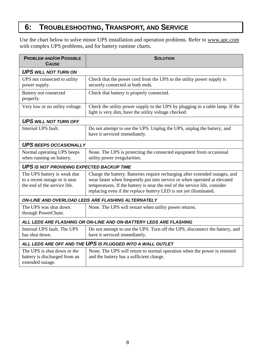# **6: TROUBLESHOOTING, TRANSPORT, AND SERVICE**

Use the chart below to solve minor UPS installation and operation problems. Refer to www.apc.com with complex UPS problems, and for battery runtime charts.

| <b>PROBLEM AND/OR POSSIBLE</b><br><b>CAUSE</b>                                               | <b>SOLUTION</b>                                                                                                                                                                                                                                                                                                     |  |  |  |
|----------------------------------------------------------------------------------------------|---------------------------------------------------------------------------------------------------------------------------------------------------------------------------------------------------------------------------------------------------------------------------------------------------------------------|--|--|--|
| <b>UPS WILL NOT TURN ON</b>                                                                  |                                                                                                                                                                                                                                                                                                                     |  |  |  |
| UPS not connected to utility<br>power supply.                                                | Check that the power cord from the UPS to the utility power supply is<br>securely connected at both ends.                                                                                                                                                                                                           |  |  |  |
| Battery not connected<br>properly.                                                           | Check that battery is properly connected.                                                                                                                                                                                                                                                                           |  |  |  |
| Very low or no utility voltage.                                                              | Check the utility power supply to the UPS by plugging in a table lamp. If the<br>light is very dim, have the utility voltage checked.                                                                                                                                                                               |  |  |  |
| <b>UPS WILL NOT TURN OFF</b>                                                                 |                                                                                                                                                                                                                                                                                                                     |  |  |  |
| Internal UPS fault.                                                                          | Do not attempt to use the UPS. Unplug the UPS, unplug the battery, and<br>have it serviced immediately.                                                                                                                                                                                                             |  |  |  |
| <b>UPS BEEPS OCCASIONALLY</b>                                                                |                                                                                                                                                                                                                                                                                                                     |  |  |  |
| Normal operating UPS beeps<br>when running on battery.                                       | None. The UPS is protecting the connected equipment from occasional<br>utility power irregularities.                                                                                                                                                                                                                |  |  |  |
| <b>UPS IS NOT PROVIDING EXPECTED BACKUP TIME</b>                                             |                                                                                                                                                                                                                                                                                                                     |  |  |  |
| The UPS battery is weak due<br>to a recent outage or is near<br>the end of the service life. | Charge the battery. Batteries require recharging after extended outages, and<br>wear faster when frequently put into service or when operated at elevated<br>temperatures. If the battery is near the end of the service life, consider<br>replacing even if the <i>replace battery</i> LED is not yet illuminated. |  |  |  |
| <b>ON-LINE AND OVERLOAD LEDS ARE FLASHING ALTERNATELY</b>                                    |                                                                                                                                                                                                                                                                                                                     |  |  |  |
| The UPS was shut down<br>through PowerChute.                                                 | None. The UPS will restart when utility power returns.                                                                                                                                                                                                                                                              |  |  |  |
| ALL LEDS ARE FLASHING OR ON-LINE AND ON-BATTERY LEDS ARE FLASHING                            |                                                                                                                                                                                                                                                                                                                     |  |  |  |
| Internal UPS fault. The UPS<br>has shut down.                                                | Do not attempt to use the UPS. Turn off the UPS, disconnect the battery, and<br>have it serviced immediately.                                                                                                                                                                                                       |  |  |  |
| ALL LEDS ARE OFF AND THE UPS IS PLUGGED INTO A WALL OUTLET                                   |                                                                                                                                                                                                                                                                                                                     |  |  |  |
| The UPS is shut down or the<br>battery is discharged from an<br>extended outage.             | None. The UPS will return to normal operation when the power is restored<br>and the battery has a sufficient charge.                                                                                                                                                                                                |  |  |  |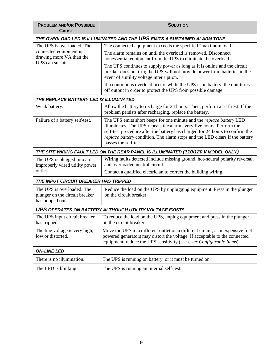| <b>PROBLEM AND/OR POSSIBLE</b><br><b>CAUSE</b>                                  | <b>SOLUTION</b>                                                                                                                                                                                                                                                                                                                        |  |  |  |
|---------------------------------------------------------------------------------|----------------------------------------------------------------------------------------------------------------------------------------------------------------------------------------------------------------------------------------------------------------------------------------------------------------------------------------|--|--|--|
| THE OVERLOAD LED IS ILLUMINATED AND THE UPS EMITS A SUSTAINED ALARM TONE        |                                                                                                                                                                                                                                                                                                                                        |  |  |  |
| The UPS is overloaded. The                                                      | The connected equipment exceeds the specified "maximum load."                                                                                                                                                                                                                                                                          |  |  |  |
| connected equipment is<br>drawing more VA than the<br>UPS can sustain.          | The alarm remains on until the overload is removed. Disconnect<br>nonessential equipment from the UPS to eliminate the overload.                                                                                                                                                                                                       |  |  |  |
|                                                                                 | The UPS continues to supply power as long as it is online and the circuit<br>breaker does not trip; the UPS will not provide power from batteries in the<br>event of a utility voltage interruption.                                                                                                                                   |  |  |  |
|                                                                                 | If a continuous overload occurs while the UPS is on battery, the unit turns<br>off output in order to protect the UPS from possible damage.                                                                                                                                                                                            |  |  |  |
| THE REPLACE BATTERY LED IS ILLUMINATED                                          |                                                                                                                                                                                                                                                                                                                                        |  |  |  |
| Weak battery.                                                                   | Allow the battery to recharge for 24 hours. Then, perform a self-test. If the<br>problem persists after recharging, replace the battery.                                                                                                                                                                                               |  |  |  |
| Failure of a battery self-test.                                                 | The UPS emits short beeps for one minute and the replace battery LED<br>illuminates. The UPS repeats the alarm every five hours. Perform the<br>self-test procedure after the battery has charged for 24 hours to confirm the<br>replace battery condition. The alarm stops and the LED clears if the battery<br>passes the self-test. |  |  |  |
|                                                                                 | THE SITE WIRING FAULT LED ON THE REAR PANEL IS ILLUMINATED (110/120 V MODEL ONLY)                                                                                                                                                                                                                                                      |  |  |  |
| The UPS is plugged into an<br>improperly wired utility power                    | Wiring faults detected include missing ground, hot-neutral polarity reversal,<br>and overloaded neutral circuit.                                                                                                                                                                                                                       |  |  |  |
| outlet.                                                                         | Contact a qualified electrician to correct the building wiring.                                                                                                                                                                                                                                                                        |  |  |  |
| THE INPUT CIRCUIT BREAKER HAS TRIPPED                                           |                                                                                                                                                                                                                                                                                                                                        |  |  |  |
| The UPS is overloaded. The<br>plunger on the circuit breaker<br>has popped out. | Reduce the load on the UPS by unplugging equipment. Press in the plunger<br>on the circuit breaker.                                                                                                                                                                                                                                    |  |  |  |
| <b>UPS OPERATES ON BATTERY ALTHOUGH UTILITY VOLTAGE EXISTS</b>                  |                                                                                                                                                                                                                                                                                                                                        |  |  |  |
| The UPS input circuit breaker<br>has tripped.                                   | To reduce the load on the UPS, unplug equipment and press in the plunger<br>on the circuit breaker.                                                                                                                                                                                                                                    |  |  |  |
| The line voltage is very high,<br>low or distorted.                             | Move the UPS to a different outlet on a different circuit, as inexpensive fuel<br>powered generators may distort the voltage. If acceptable to the connected<br>equipment, reduce the UPS sensitivity (see User Configurable Items).                                                                                                   |  |  |  |
| <b>ON-LINE LED</b>                                                              |                                                                                                                                                                                                                                                                                                                                        |  |  |  |
| There is no illumination.                                                       | The UPS is running on battery, or it must be turned on.                                                                                                                                                                                                                                                                                |  |  |  |
| The LED is blinking.                                                            | The UPS is running an internal self-test.                                                                                                                                                                                                                                                                                              |  |  |  |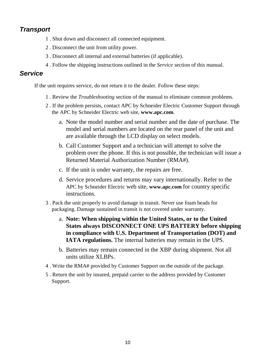#### *Transport*

- 1 . Shut down and disconnect all connected equipment.
- 2 . Disconnect the unit from utility power.
- 3 . Disconnect all internal and external batteries (if applicable).
- 4 . Follow the shipping instructions outlined in the *Service* section of this manual.

#### *Service*

If the unit requires service, do not return it to the dealer. Follow these steps:

- 1 . Review the *Troubleshooting* section of the manual to eliminate common problems.
- 2 . If the problem persists, contact APC by Schneider Electric Customer Support through the APC by Schneider Electric web site, **www.apc.com**.
	- a. Note the model number and serial number and the date of purchase. The model and serial numbers are located on the rear panel of the unit and are available through the LCD display on select models.
	- b. Call Customer Support and a technician will attempt to solve the problem over the phone. If this is not possible, the technician will issue a Returned Material Authorization Number (RMA#).
	- c. If the unit is under warranty, the repairs are free.
	- d. Service procedures and returns may vary internationally. Refer to the APC by Schneider Electric web site, **www.apc.com** for country specific instructions.
- 3 . Pack the unit properly to avoid damage in transit. Never use foam beads for packaging. Damage sustained in transit is not covered under warranty.
	- a. **Note: When shipping within the United States, or to the United States always DISCONNECT ONE UPS BATTERY before shipping in compliance with U.S. Department of Transportation (DOT) and IATA regulations.** The internal batteries may remain in the UPS.
	- b. Batteries may remain connected in the XBP during shipment. Not all units utilize XLBPs.
- 4 . Write the RMA# provided by Customer Support on the outside of the package.
- 5 . Return the unit by insured, prepaid carrier to the address provided by Customer Support.